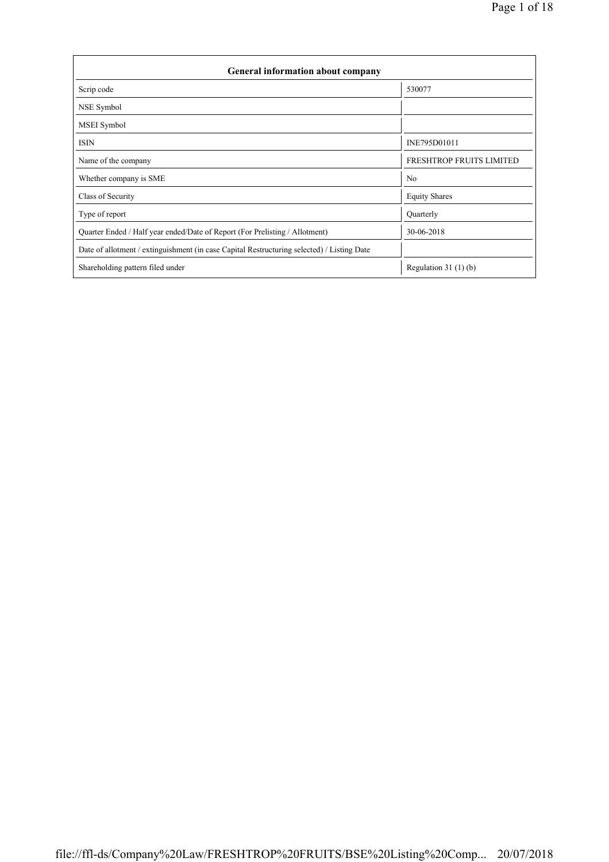| General information about company                                                          |                          |  |  |  |  |  |  |
|--------------------------------------------------------------------------------------------|--------------------------|--|--|--|--|--|--|
| Scrip code                                                                                 | 530077                   |  |  |  |  |  |  |
| NSE Symbol                                                                                 |                          |  |  |  |  |  |  |
| <b>MSEI</b> Symbol                                                                         |                          |  |  |  |  |  |  |
| <b>ISIN</b>                                                                                | INE795D01011             |  |  |  |  |  |  |
| Name of the company                                                                        | FRESHTROP FRUITS LIMITED |  |  |  |  |  |  |
| Whether company is SME                                                                     | N <sub>0</sub>           |  |  |  |  |  |  |
| Class of Security                                                                          | <b>Equity Shares</b>     |  |  |  |  |  |  |
| Type of report                                                                             | Quarterly                |  |  |  |  |  |  |
| Quarter Ended / Half year ended/Date of Report (For Prelisting / Allotment)                | 30-06-2018               |  |  |  |  |  |  |
| Date of allotment / extinguishment (in case Capital Restructuring selected) / Listing Date |                          |  |  |  |  |  |  |
| Shareholding pattern filed under                                                           | Regulation $31(1)(b)$    |  |  |  |  |  |  |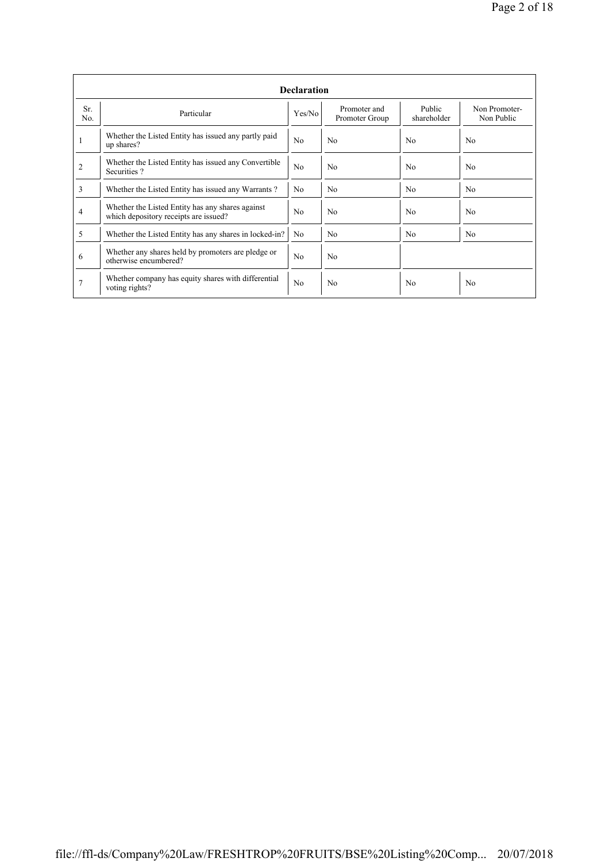|            | <b>Declaration</b>                                                                        |                |                                |                       |                             |  |  |  |  |  |
|------------|-------------------------------------------------------------------------------------------|----------------|--------------------------------|-----------------------|-----------------------------|--|--|--|--|--|
| Sr.<br>No. | Particular                                                                                | Yes/No         | Promoter and<br>Promoter Group | Public<br>shareholder | Non Promoter-<br>Non Public |  |  |  |  |  |
| 1          | Whether the Listed Entity has issued any partly paid<br>up shares?                        | N <sub>0</sub> | No                             | N <sub>0</sub>        | No                          |  |  |  |  |  |
| 2          | Whether the Listed Entity has issued any Convertible<br>Securities?                       | N <sub>0</sub> | N <sub>0</sub>                 | N <sub>0</sub>        | No                          |  |  |  |  |  |
| 3          | Whether the Listed Entity has issued any Warrants?                                        | N <sub>0</sub> | N <sub>0</sub>                 | N <sub>0</sub>        | N <sub>0</sub>              |  |  |  |  |  |
| 4          | Whether the Listed Entity has any shares against<br>which depository receipts are issued? | N <sub>0</sub> | N <sub>0</sub>                 | N <sub>0</sub>        | No                          |  |  |  |  |  |
| 5          | Whether the Listed Entity has any shares in locked-in?                                    | N <sub>0</sub> | N <sub>0</sub>                 | N <sub>0</sub>        | N <sub>0</sub>              |  |  |  |  |  |
| 6          | Whether any shares held by promoters are pledge or<br>otherwise encumbered?               | N <sub>0</sub> | N <sub>0</sub>                 |                       |                             |  |  |  |  |  |
|            | Whether company has equity shares with differential<br>voting rights?                     | No             | N <sub>0</sub>                 | N <sub>0</sub>        | No                          |  |  |  |  |  |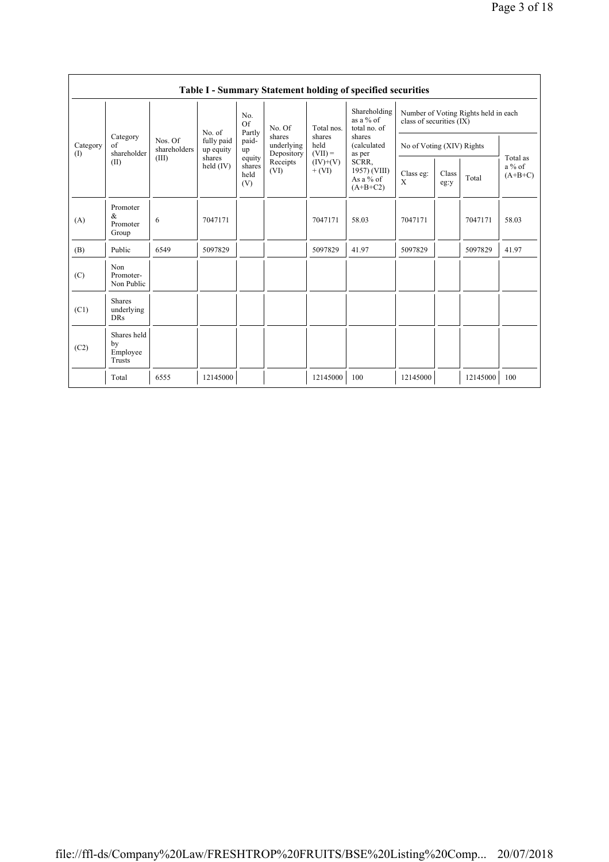|                 |                                         |                                  |                                                            |                                 |                                                                  |                                                                     | Table I - Summary Statement holding of specified securities                                                                        |                                                                  |               |          |                                   |
|-----------------|-----------------------------------------|----------------------------------|------------------------------------------------------------|---------------------------------|------------------------------------------------------------------|---------------------------------------------------------------------|------------------------------------------------------------------------------------------------------------------------------------|------------------------------------------------------------------|---------------|----------|-----------------------------------|
| Category<br>(1) |                                         | Nos. Of<br>shareholders<br>(III) | No. of<br>fully paid<br>up equity<br>shares<br>held $(IV)$ | No.<br><b>Of</b>                | No. Of<br>shares<br>underlying<br>Depository<br>Receipts<br>(VI) | Total nos.<br>shares<br>held<br>$(VII) =$<br>$(IV)+(V)$<br>$+ (VI)$ | Shareholding<br>as a $%$ of<br>total no. of<br>shares<br>(calculated<br>as per<br>SCRR,<br>1957) (VIII)<br>As a % of<br>$(A+B+C2)$ | Number of Voting Rights held in each<br>class of securities (IX) |               |          |                                   |
|                 | Category<br>$\sigma$ f<br>shareholder   |                                  |                                                            | Partly<br>paid-<br>up           |                                                                  |                                                                     |                                                                                                                                    | No of Voting (XIV) Rights                                        |               |          |                                   |
|                 | (II)                                    |                                  |                                                            | equity<br>shares<br>held<br>(V) |                                                                  |                                                                     |                                                                                                                                    | Class eg:<br>X                                                   | Class<br>eg:y | Total    | Total as<br>$a\%$ of<br>$(A+B+C)$ |
| (A)             | Promoter<br>&<br>Promoter<br>Group      | 6                                | 7047171                                                    |                                 |                                                                  | 7047171                                                             | 58.03                                                                                                                              | 7047171                                                          |               | 7047171  | 58.03                             |
| (B)             | Public                                  | 6549                             | 5097829                                                    |                                 |                                                                  | 5097829                                                             | 41.97                                                                                                                              | 5097829                                                          |               | 5097829  | 41.97                             |
| (C)             | Non<br>Promoter-<br>Non Public          |                                  |                                                            |                                 |                                                                  |                                                                     |                                                                                                                                    |                                                                  |               |          |                                   |
| (C1)            | <b>Shares</b><br>underlying<br>DRs      |                                  |                                                            |                                 |                                                                  |                                                                     |                                                                                                                                    |                                                                  |               |          |                                   |
| (C2)            | Shares held<br>by<br>Employee<br>Trusts |                                  |                                                            |                                 |                                                                  |                                                                     |                                                                                                                                    |                                                                  |               |          |                                   |
|                 | Total                                   | 6555                             | 12145000                                                   |                                 |                                                                  | 12145000                                                            | 100                                                                                                                                | 12145000                                                         |               | 12145000 | 100                               |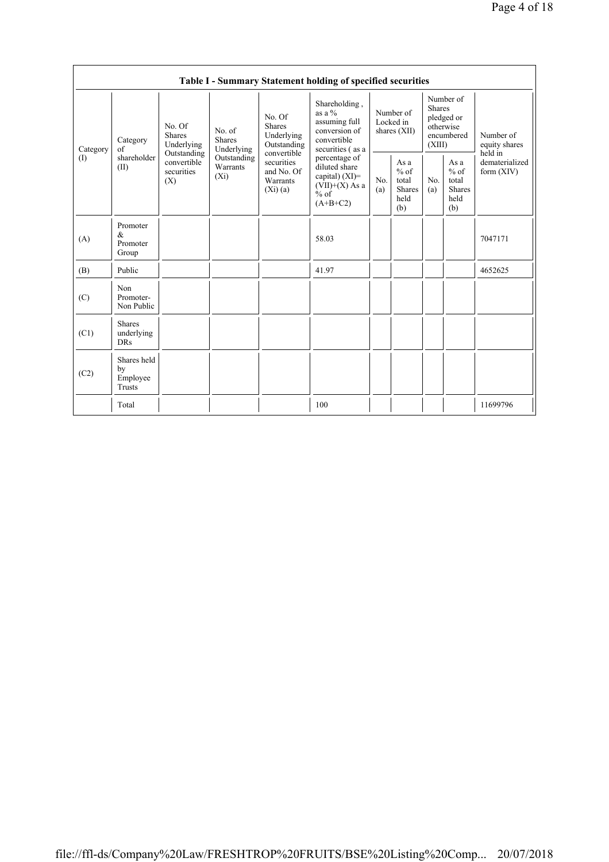|                                |                                           |                                       |                                                                                                                                                                                                                      |                                                                                                 | Table I - Summary Statement holding of specified securities                                    |                                                         |            |                                                                               |                                |                                       |
|--------------------------------|-------------------------------------------|---------------------------------------|----------------------------------------------------------------------------------------------------------------------------------------------------------------------------------------------------------------------|-------------------------------------------------------------------------------------------------|------------------------------------------------------------------------------------------------|---------------------------------------------------------|------------|-------------------------------------------------------------------------------|--------------------------------|---------------------------------------|
| Category                       | Category<br>of                            | No. Of<br><b>Shares</b><br>Underlying | No. Of<br><b>Shares</b><br>No. of<br>Underlying<br><b>Shares</b><br>Outstanding<br>Underlying<br>Outstanding<br>convertible<br>Outstanding<br>securities<br>Warrants<br>and No. Of<br>$(X_i)$<br>Warrants<br>(Xi)(a) |                                                                                                 | Shareholding,<br>as a $%$<br>assuming full<br>conversion of<br>convertible<br>securities (as a | Number of<br>Locked in<br>shares (XII)                  |            | Number of<br><b>Shares</b><br>pledged or<br>otherwise<br>encumbered<br>(XIII) |                                | Number of<br>equity shares<br>held in |
| $\textcircled{\scriptsize{1}}$ | shareholder<br>(II)                       | convertible<br>securities<br>(X)      |                                                                                                                                                                                                                      | percentage of<br>diluted share<br>capital) $(XI)$ =<br>$(VII)+(X)$ As a<br>$%$ of<br>$(A+B+C2)$ | No.<br>(a)                                                                                     | As a<br>$%$ of<br>total<br><b>Shares</b><br>held<br>(b) | No.<br>(a) | As a<br>$%$ of<br>total<br><b>Shares</b><br>held<br>(b)                       | dematerialized<br>form $(XIV)$ |                                       |
| (A)                            | Promoter<br>&<br>Promoter<br>Group        |                                       |                                                                                                                                                                                                                      |                                                                                                 | 58.03                                                                                          |                                                         |            |                                                                               |                                | 7047171                               |
| (B)                            | Public                                    |                                       |                                                                                                                                                                                                                      |                                                                                                 | 41.97                                                                                          |                                                         |            |                                                                               |                                | 4652625                               |
| (C)                            | Non<br>Promoter-<br>Non Public            |                                       |                                                                                                                                                                                                                      |                                                                                                 |                                                                                                |                                                         |            |                                                                               |                                |                                       |
| (C1)                           | <b>Shares</b><br>underlying<br><b>DRs</b> |                                       |                                                                                                                                                                                                                      |                                                                                                 |                                                                                                |                                                         |            |                                                                               |                                |                                       |
| (C2)                           | Shares held<br>by<br>Employee<br>Trusts   |                                       |                                                                                                                                                                                                                      |                                                                                                 |                                                                                                |                                                         |            |                                                                               |                                |                                       |
|                                | Total                                     |                                       |                                                                                                                                                                                                                      |                                                                                                 | 100                                                                                            |                                                         |            |                                                                               |                                | 11699796                              |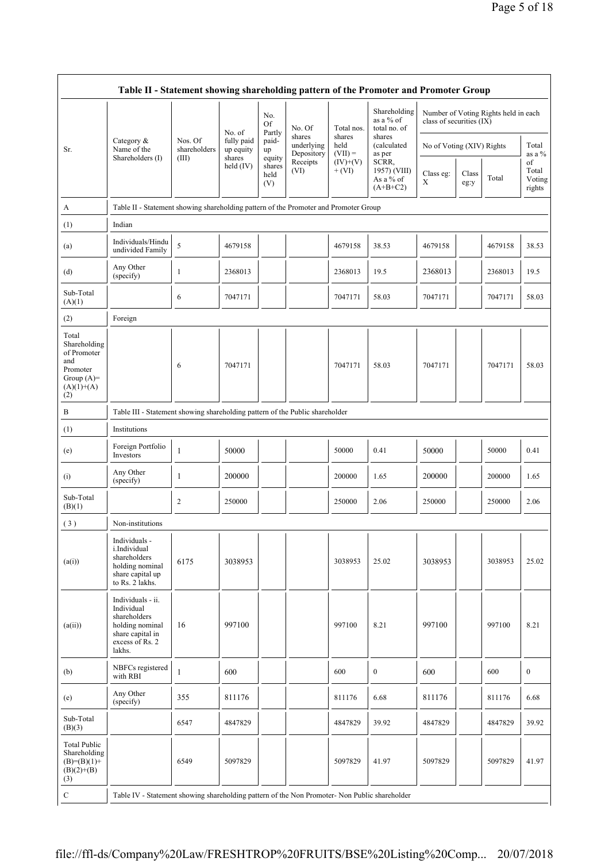|                                                                                                | Table II - Statement showing shareholding pattern of the Promoter and Promoter Group                                |                         |                         |                                 |                                    |                             |                                                  |                           |               |                                      |                                 |
|------------------------------------------------------------------------------------------------|---------------------------------------------------------------------------------------------------------------------|-------------------------|-------------------------|---------------------------------|------------------------------------|-----------------------------|--------------------------------------------------|---------------------------|---------------|--------------------------------------|---------------------------------|
|                                                                                                |                                                                                                                     |                         | No. of                  | No.<br>Of<br>Partly             | No. Of                             | Total nos.                  | Shareholding<br>as a % of<br>total no. of        | class of securities (IX)  |               | Number of Voting Rights held in each |                                 |
| Sr.                                                                                            | Category &<br>Name of the<br>Shareholders (I)                                                                       | Nos. Of<br>shareholders | fully paid<br>up equity | paid-<br>up                     | shares<br>underlying<br>Depository | shares<br>held<br>$(VII) =$ | shares<br>(calculated<br>as per                  | No of Voting (XIV) Rights |               |                                      | Total<br>as a %                 |
|                                                                                                |                                                                                                                     | (III)                   | shares<br>held $(IV)$   | equity<br>shares<br>held<br>(V) | Receipts<br>(VI)                   | $(IV)+(V)$<br>$+$ (VI)      | SCRR,<br>1957) (VIII)<br>As a % of<br>$(A+B+C2)$ | Class eg:<br>X            | Class<br>eg:y | Total                                | of<br>Total<br>Voting<br>rights |
| A                                                                                              | Table II - Statement showing shareholding pattern of the Promoter and Promoter Group                                |                         |                         |                                 |                                    |                             |                                                  |                           |               |                                      |                                 |
| (1)                                                                                            | Indian                                                                                                              |                         |                         |                                 |                                    |                             |                                                  |                           |               |                                      |                                 |
| (a)                                                                                            | Individuals/Hindu<br>undivided Family                                                                               | 5                       | 4679158                 |                                 |                                    | 4679158                     | 38.53                                            | 4679158                   |               | 4679158                              | 38.53                           |
| (d)                                                                                            | Any Other<br>(specify)                                                                                              | 1                       | 2368013                 |                                 |                                    | 2368013                     | 19.5                                             | 2368013                   |               | 2368013                              | 19.5                            |
| Sub-Total<br>(A)(1)                                                                            |                                                                                                                     | 6                       | 7047171                 |                                 |                                    | 7047171                     | 58.03                                            | 7047171                   |               | 7047171                              | 58.03                           |
| (2)                                                                                            | Foreign                                                                                                             |                         |                         |                                 |                                    |                             |                                                  |                           |               |                                      |                                 |
| Total<br>Shareholding<br>of Promoter<br>and<br>Promoter<br>Group $(A)=$<br>$(A)(1)+(A)$<br>(2) |                                                                                                                     | 6                       | 7047171                 |                                 |                                    | 7047171                     | 58.03                                            | 7047171                   |               | 7047171                              | 58.03                           |
| B                                                                                              | Table III - Statement showing shareholding pattern of the Public shareholder                                        |                         |                         |                                 |                                    |                             |                                                  |                           |               |                                      |                                 |
| (1)                                                                                            | Institutions                                                                                                        |                         |                         |                                 |                                    |                             |                                                  |                           |               |                                      |                                 |
| (e)                                                                                            | Foreign Portfolio<br>Investors                                                                                      | $\mathbf{1}$            | 50000                   |                                 |                                    | 50000                       | 0.41                                             | 50000                     |               | 50000                                | 0.41                            |
| (i)                                                                                            | Any Other<br>(specify)                                                                                              | 1                       | 200000                  |                                 |                                    | 200000                      | 1.65                                             | 200000                    |               | 200000                               | 1.65                            |
| Sub-Total<br>(B)(1)                                                                            |                                                                                                                     | $\overline{c}$          | 250000                  |                                 |                                    | 250000                      | 2.06                                             | 250000                    |               | 250000                               | 2.06                            |
| (3)                                                                                            | Non-institutions                                                                                                    |                         |                         |                                 |                                    |                             |                                                  |                           |               |                                      |                                 |
| (a(i))                                                                                         | Individuals -<br>i.Individual<br>shareholders<br>holding nominal<br>share capital up<br>to Rs. 2 lakhs.             | 6175                    | 3038953                 |                                 |                                    | 3038953                     | 25.02                                            | 3038953                   |               | 3038953                              | 25.02                           |
| (a(ii))                                                                                        | Individuals - ii.<br>Individual<br>shareholders<br>holding nominal<br>share capital in<br>excess of Rs. 2<br>lakhs. | 16                      | 997100                  |                                 |                                    | 997100                      | 8.21                                             | 997100                    |               | 997100                               | 8.21                            |
| (b)                                                                                            | NBFCs registered<br>with RBI                                                                                        | $\mathbf{1}$            | 600                     |                                 |                                    | 600                         | $\boldsymbol{0}$                                 | 600                       |               | 600                                  | $\boldsymbol{0}$                |
| (e)                                                                                            | Any Other<br>(specify)                                                                                              | 355                     | 811176                  |                                 |                                    | 811176                      | 6.68                                             | 811176                    |               | 811176                               | 6.68                            |
| Sub-Total<br>(B)(3)                                                                            |                                                                                                                     | 6547                    | 4847829                 |                                 |                                    | 4847829                     | 39.92                                            | 4847829                   |               | 4847829                              | 39.92                           |
| <b>Total Public</b><br>Shareholding<br>$(B)=(B)(1)+$<br>$(B)(2)+(B)$<br>(3)                    |                                                                                                                     | 6549                    | 5097829                 |                                 |                                    | 5097829                     | 41.97                                            | 5097829                   |               | 5097829                              | 41.97                           |
| $\mathbf C$                                                                                    | Table IV - Statement showing shareholding pattern of the Non Promoter- Non Public shareholder                       |                         |                         |                                 |                                    |                             |                                                  |                           |               |                                      |                                 |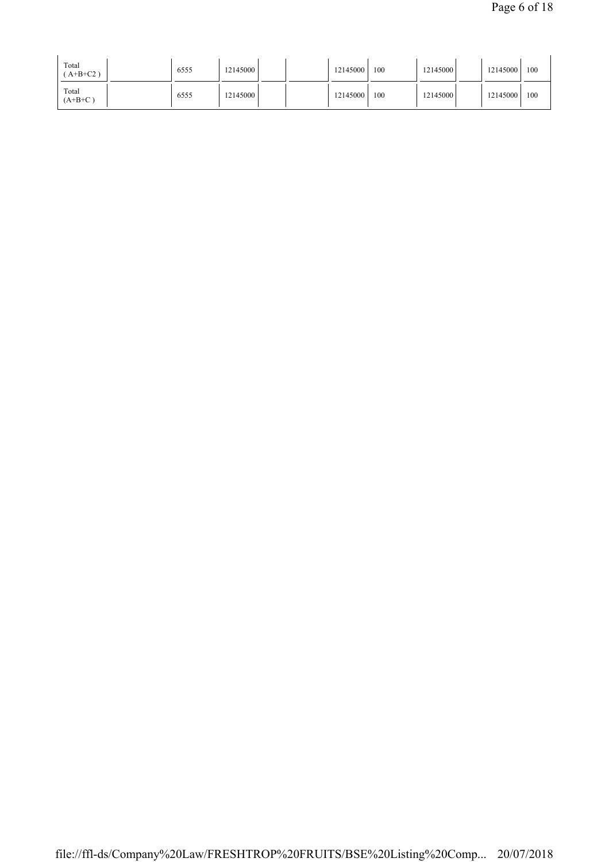| Total<br>$A+B+C2$ ) | 6555 | 12145000 | 12145000 | 100 | 12145000 | 12145000 | 100 |
|---------------------|------|----------|----------|-----|----------|----------|-----|
| Total<br>$(A+B+C)$  | 6555 | 12145000 | 12145000 | 100 | 12145000 | 12145000 | 100 |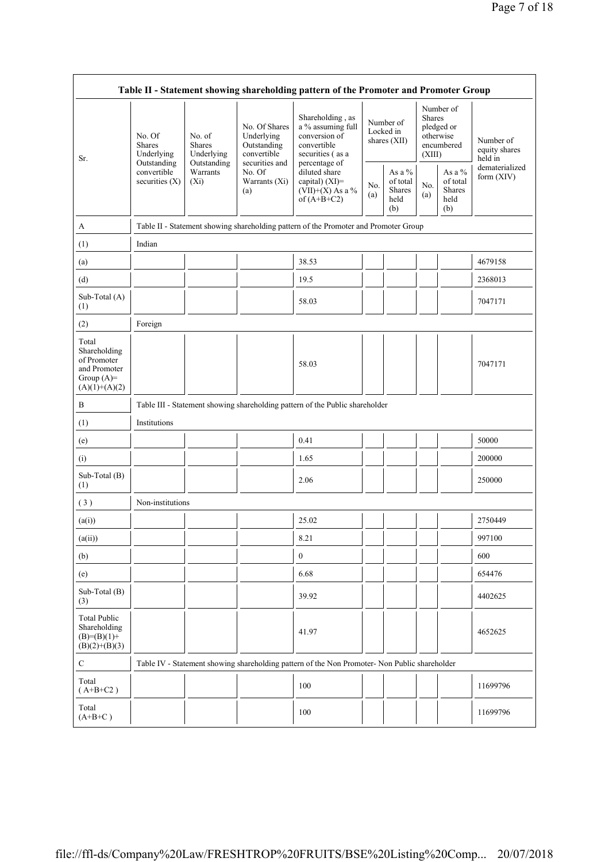| Table II - Statement showing shareholding pattern of the Promoter and Promoter Group    |                                                      |                                                      |                                                                                                               |                                                                                                            |            |                                                      |                                                                               |                                             |                                       |  |  |
|-----------------------------------------------------------------------------------------|------------------------------------------------------|------------------------------------------------------|---------------------------------------------------------------------------------------------------------------|------------------------------------------------------------------------------------------------------------|------------|------------------------------------------------------|-------------------------------------------------------------------------------|---------------------------------------------|---------------------------------------|--|--|
| Sr.                                                                                     | No. Of<br><b>Shares</b><br>Underlying<br>Outstanding | No. of<br><b>Shares</b><br>Underlying<br>Outstanding | No. Of Shares<br>Underlying<br>Outstanding<br>convertible<br>securities and<br>No. Of<br>Warrants (Xi)<br>(a) | Shareholding, as<br>a % assuming full<br>conversion of<br>convertible<br>securities (as a<br>percentage of |            | Number of<br>Locked in<br>shares $(XII)$             | Number of<br><b>Shares</b><br>pledged or<br>otherwise<br>encumbered<br>(XIII) |                                             | Number of<br>equity shares<br>held in |  |  |
|                                                                                         | convertible<br>securities $(X)$                      | Warrants<br>$(X_i)$                                  |                                                                                                               | diluted share<br>capital) (XI)=<br>$(VII)+(X)$ As a %<br>of $(A+B+C2)$                                     | No.<br>(a) | As a $%$<br>of total<br><b>Shares</b><br>held<br>(b) | No.<br>(a)                                                                    | As a %<br>of total<br>Shares<br>held<br>(b) | dematerialized<br>form (XIV)          |  |  |
| A                                                                                       |                                                      |                                                      |                                                                                                               | Table II - Statement showing shareholding pattern of the Promoter and Promoter Group                       |            |                                                      |                                                                               |                                             |                                       |  |  |
| (1)                                                                                     | Indian                                               |                                                      |                                                                                                               |                                                                                                            |            |                                                      |                                                                               |                                             |                                       |  |  |
| (a)                                                                                     |                                                      |                                                      |                                                                                                               | 38.53                                                                                                      |            |                                                      |                                                                               |                                             | 4679158                               |  |  |
| (d)                                                                                     |                                                      |                                                      |                                                                                                               | 19.5                                                                                                       |            |                                                      |                                                                               |                                             | 2368013                               |  |  |
| Sub-Total (A)<br>(1)                                                                    |                                                      |                                                      |                                                                                                               | 58.03                                                                                                      |            |                                                      |                                                                               |                                             | 7047171                               |  |  |
| (2)                                                                                     | Foreign                                              |                                                      |                                                                                                               |                                                                                                            |            |                                                      |                                                                               |                                             |                                       |  |  |
| Total<br>Shareholding<br>of Promoter<br>and Promoter<br>Group $(A)=$<br>$(A)(1)+(A)(2)$ |                                                      |                                                      |                                                                                                               | 58.03                                                                                                      |            |                                                      |                                                                               |                                             | 7047171                               |  |  |
| В                                                                                       |                                                      |                                                      |                                                                                                               | Table III - Statement showing shareholding pattern of the Public shareholder                               |            |                                                      |                                                                               |                                             |                                       |  |  |
| (1)                                                                                     | Institutions                                         |                                                      |                                                                                                               |                                                                                                            |            |                                                      |                                                                               |                                             |                                       |  |  |
| (e)                                                                                     |                                                      |                                                      |                                                                                                               | 0.41                                                                                                       |            |                                                      |                                                                               |                                             | 50000                                 |  |  |
| (i)                                                                                     |                                                      |                                                      |                                                                                                               | 1.65                                                                                                       |            |                                                      |                                                                               |                                             | 200000                                |  |  |
| Sub-Total (B)<br>(1)                                                                    |                                                      |                                                      |                                                                                                               | 2.06                                                                                                       |            |                                                      |                                                                               |                                             | 250000                                |  |  |
| (3)                                                                                     | Non-institutions                                     |                                                      |                                                                                                               |                                                                                                            |            |                                                      |                                                                               |                                             |                                       |  |  |
| (a(i))                                                                                  |                                                      |                                                      |                                                                                                               | 25.02                                                                                                      |            |                                                      |                                                                               |                                             | 2750449                               |  |  |
| (a(ii))                                                                                 |                                                      | п<br>H                                               |                                                                                                               | 8.21                                                                                                       | - 1        | $\mathbf{I}$                                         | $\blacksquare$                                                                |                                             | 997100                                |  |  |
| (b)                                                                                     |                                                      |                                                      |                                                                                                               | $\boldsymbol{0}$                                                                                           |            |                                                      |                                                                               |                                             | 600                                   |  |  |
| (e)                                                                                     |                                                      |                                                      |                                                                                                               | 6.68                                                                                                       |            |                                                      |                                                                               |                                             | 654476                                |  |  |
| Sub-Total (B)<br>(3)                                                                    |                                                      |                                                      |                                                                                                               | 39.92                                                                                                      |            |                                                      |                                                                               |                                             | 4402625                               |  |  |
| <b>Total Public</b><br>Shareholding<br>$(B)= (B)(1) +$<br>$(B)(2)+(B)(3)$               |                                                      |                                                      |                                                                                                               | 41.97                                                                                                      |            |                                                      |                                                                               |                                             | 4652625                               |  |  |
| ${\bf C}$                                                                               |                                                      |                                                      |                                                                                                               | Table IV - Statement showing shareholding pattern of the Non Promoter- Non Public shareholder              |            |                                                      |                                                                               |                                             |                                       |  |  |
| Total<br>$(A+B+C2)$                                                                     |                                                      |                                                      |                                                                                                               | 100                                                                                                        |            |                                                      |                                                                               |                                             | 11699796                              |  |  |
| Total<br>$(A+B+C)$                                                                      |                                                      |                                                      |                                                                                                               | 100                                                                                                        |            |                                                      |                                                                               |                                             | 11699796                              |  |  |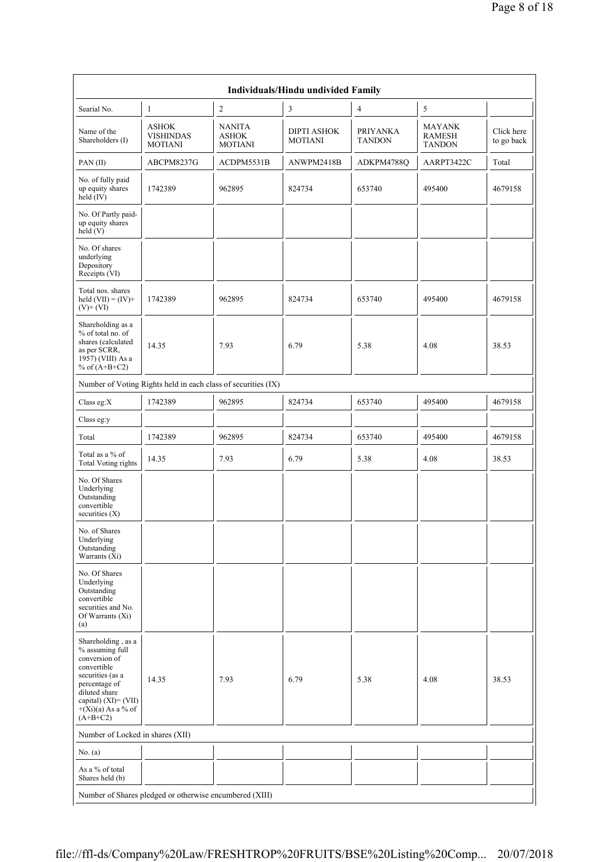|                                                                                                                                                                                           |                                                               |                                                 | <b>Individuals/Hindu undivided Family</b> |                                  |                                                 |                          |
|-------------------------------------------------------------------------------------------------------------------------------------------------------------------------------------------|---------------------------------------------------------------|-------------------------------------------------|-------------------------------------------|----------------------------------|-------------------------------------------------|--------------------------|
| Searial No.                                                                                                                                                                               | 1                                                             | $\sqrt{2}$                                      | 3                                         | $\overline{4}$                   | 5                                               |                          |
| Name of the<br>Shareholders (I)                                                                                                                                                           | <b>ASHOK</b><br><b>VISHINDAS</b><br><b>MOTIANI</b>            | <b>NANITA</b><br><b>ASHOK</b><br><b>MOTIANI</b> | <b>DIPTI ASHOK</b><br><b>MOTIANI</b>      | <b>PRIYANKA</b><br><b>TANDON</b> | <b>MAYANK</b><br><b>RAMESH</b><br><b>TANDON</b> | Click here<br>to go back |
| PAN(II)                                                                                                                                                                                   | ABCPM8237G                                                    | ACDPM5531B                                      | ANWPM2418B                                | ADKPM4788Q                       | AARPT3422C                                      | Total                    |
| No. of fully paid<br>up equity shares<br>held $(IV)$                                                                                                                                      | 1742389                                                       | 962895                                          | 824734                                    | 653740                           | 495400                                          | 4679158                  |
| No. Of Partly paid-<br>up equity shares<br>held (V)                                                                                                                                       |                                                               |                                                 |                                           |                                  |                                                 |                          |
| No. Of shares<br>underlying<br>Depository<br>Receipts (VI)                                                                                                                                |                                                               |                                                 |                                           |                                  |                                                 |                          |
| Total nos. shares<br>held $(VII) = (IV) +$<br>$(V)+(VI)$                                                                                                                                  | 1742389                                                       | 962895                                          | 824734                                    | 653740                           | 495400                                          | 4679158                  |
| Shareholding as a<br>% of total no. of<br>shares (calculated<br>as per SCRR,<br>1957) (VIII) As a<br>% of $(A+B+C2)$                                                                      | 14.35                                                         | 7.93                                            | 6.79                                      | 5.38                             | 4.08                                            | 38.53                    |
|                                                                                                                                                                                           | Number of Voting Rights held in each class of securities (IX) |                                                 |                                           |                                  |                                                 |                          |
| Class eg:X                                                                                                                                                                                | 1742389                                                       | 962895                                          | 824734                                    | 653740                           | 495400                                          | 4679158                  |
| Class eg:y                                                                                                                                                                                |                                                               |                                                 |                                           |                                  |                                                 |                          |
| Total                                                                                                                                                                                     | 1742389                                                       | 962895                                          | 824734                                    | 653740                           | 495400                                          | 4679158                  |
| Total as a % of<br><b>Total Voting rights</b>                                                                                                                                             | 14.35                                                         | 7.93                                            | 6.79                                      | 5.38                             | 4.08                                            | 38.53                    |
| No. Of Shares<br>Underlying<br>Outstanding<br>convertible<br>securities $(X)$                                                                                                             |                                                               |                                                 |                                           |                                  |                                                 |                          |
| No. of Shares<br>Underlying<br>Outstanding<br>Warrants (Xi)                                                                                                                               |                                                               |                                                 |                                           |                                  |                                                 |                          |
| No. Of Shares<br>Underlying<br>Outstanding<br>convertible<br>securities and No.<br>Of Warrants (Xi)<br>(a)                                                                                |                                                               |                                                 |                                           |                                  |                                                 |                          |
| Shareholding, as a<br>% assuming full<br>conversion of<br>convertible<br>securities (as a<br>percentage of<br>diluted share<br>capital) (XI)= (VII)<br>$+(Xi)(a)$ As a % of<br>$(A+B+C2)$ | 14.35                                                         | 7.93                                            | 6.79                                      | 5.38                             | 4.08                                            | 38.53                    |
| Number of Locked in shares (XII)                                                                                                                                                          |                                                               |                                                 |                                           |                                  |                                                 |                          |
| No. (a)                                                                                                                                                                                   |                                                               |                                                 |                                           |                                  |                                                 |                          |
| As a % of total<br>Shares held (b)                                                                                                                                                        |                                                               |                                                 |                                           |                                  |                                                 |                          |
|                                                                                                                                                                                           | Number of Shares pledged or otherwise encumbered (XIII)       |                                                 |                                           |                                  |                                                 |                          |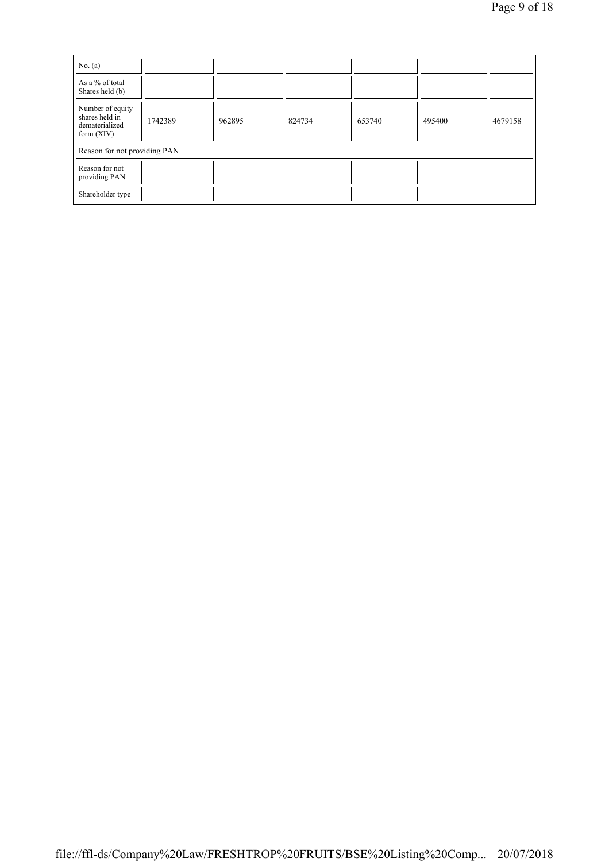| No. $(a)$                                                            |                              |        |        |        |        |         |  |  |  |
|----------------------------------------------------------------------|------------------------------|--------|--------|--------|--------|---------|--|--|--|
| As a % of total<br>Shares held (b)                                   |                              |        |        |        |        |         |  |  |  |
| Number of equity<br>shares held in<br>dematerialized<br>form $(XIV)$ | 1742389                      | 962895 | 824734 | 653740 | 495400 | 4679158 |  |  |  |
|                                                                      | Reason for not providing PAN |        |        |        |        |         |  |  |  |
| Reason for not<br>providing PAN                                      |                              |        |        |        |        |         |  |  |  |
| Shareholder type                                                     |                              |        |        |        |        |         |  |  |  |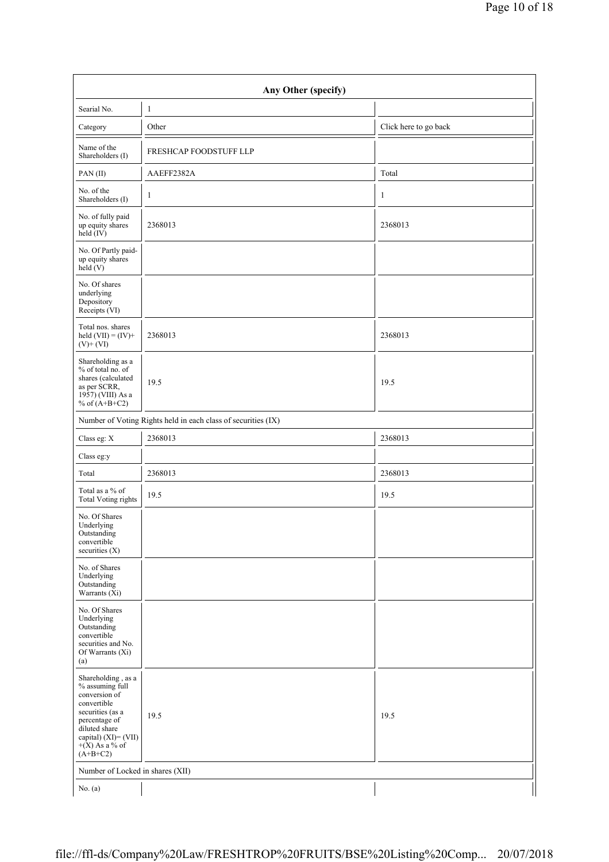| Any Other (specify)                                                                                                                                                                   |                                                               |                       |  |  |  |  |  |  |
|---------------------------------------------------------------------------------------------------------------------------------------------------------------------------------------|---------------------------------------------------------------|-----------------------|--|--|--|--|--|--|
| Searial No.                                                                                                                                                                           | $\mathbf{1}$                                                  |                       |  |  |  |  |  |  |
| Category                                                                                                                                                                              | Other                                                         | Click here to go back |  |  |  |  |  |  |
| Name of the<br>Shareholders (I)                                                                                                                                                       | FRESHCAP FOODSTUFF LLP                                        |                       |  |  |  |  |  |  |
| PAN(II)                                                                                                                                                                               | AAEFF2382A                                                    | Total                 |  |  |  |  |  |  |
| No. of the<br>Shareholders (I)                                                                                                                                                        | $\mathbf{1}$                                                  | 1                     |  |  |  |  |  |  |
| No. of fully paid<br>up equity shares<br>$\text{held}(\text{IV})$                                                                                                                     | 2368013                                                       | 2368013               |  |  |  |  |  |  |
| No. Of Partly paid-<br>up equity shares<br>$\text{held} (V)$                                                                                                                          |                                                               |                       |  |  |  |  |  |  |
| No. Of shares<br>underlying<br>Depository<br>Receipts (VI)                                                                                                                            |                                                               |                       |  |  |  |  |  |  |
| Total nos. shares<br>held $(VII) = (IV) +$<br>$(V)+(VI)$                                                                                                                              | 2368013                                                       | 2368013               |  |  |  |  |  |  |
| Shareholding as a<br>% of total no. of<br>shares (calculated<br>as per SCRR,<br>1957) (VIII) As a<br>% of $(A+B+C2)$                                                                  | 19.5                                                          | 19.5                  |  |  |  |  |  |  |
|                                                                                                                                                                                       | Number of Voting Rights held in each class of securities (IX) |                       |  |  |  |  |  |  |
| Class eg: X                                                                                                                                                                           | 2368013                                                       | 2368013               |  |  |  |  |  |  |
| Class eg:y                                                                                                                                                                            |                                                               |                       |  |  |  |  |  |  |
| Total                                                                                                                                                                                 | 2368013                                                       | 2368013               |  |  |  |  |  |  |
| Total as a % of<br><b>Total Voting rights</b>                                                                                                                                         | 19.5                                                          | 19.5                  |  |  |  |  |  |  |
| No. Of Shares<br>Underlying<br>Outstanding<br>convertible<br>securities (X)                                                                                                           |                                                               |                       |  |  |  |  |  |  |
| No. of Shares<br>Underlying<br>Outstanding<br>Warrants (Xi)                                                                                                                           |                                                               |                       |  |  |  |  |  |  |
| No. Of Shares<br>Underlying<br>Outstanding<br>convertible<br>securities and No.<br>Of Warrants (Xi)<br>(a)                                                                            |                                                               |                       |  |  |  |  |  |  |
| Shareholding, as a<br>% assuming full<br>conversion of<br>convertible<br>securities (as a<br>percentage of<br>diluted share<br>capital) (XI)= (VII)<br>$+(X)$ As a % of<br>$(A+B+C2)$ | 19.5                                                          | 19.5                  |  |  |  |  |  |  |
| Number of Locked in shares (XII)                                                                                                                                                      |                                                               |                       |  |  |  |  |  |  |
| No. $(a)$                                                                                                                                                                             |                                                               |                       |  |  |  |  |  |  |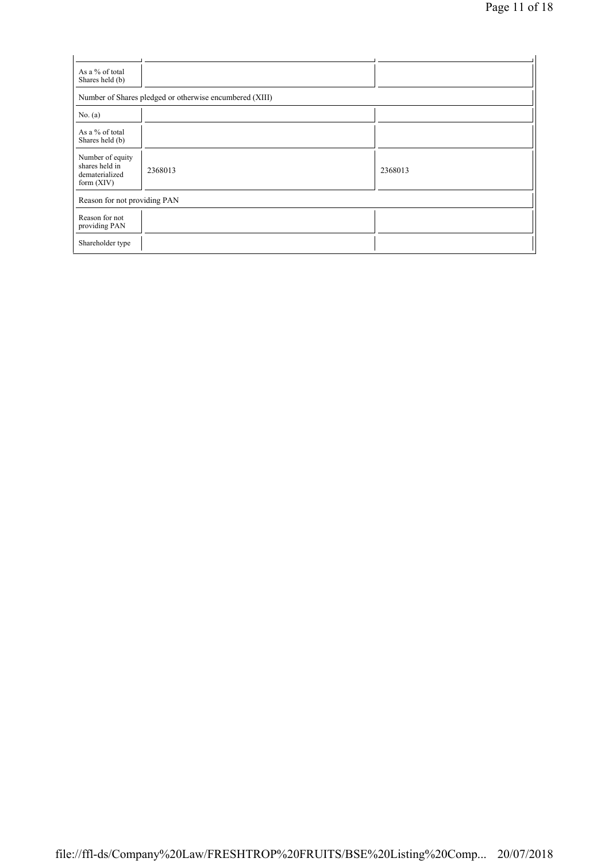| As a % of total<br>Shares held (b)                                   |                                                         |         |  |  |  |  |  |
|----------------------------------------------------------------------|---------------------------------------------------------|---------|--|--|--|--|--|
|                                                                      | Number of Shares pledged or otherwise encumbered (XIII) |         |  |  |  |  |  |
| No. $(a)$                                                            |                                                         |         |  |  |  |  |  |
| As a % of total<br>Shares held (b)                                   |                                                         |         |  |  |  |  |  |
| Number of equity<br>shares held in<br>dematerialized<br>form $(XIV)$ | 2368013                                                 | 2368013 |  |  |  |  |  |
| Reason for not providing PAN                                         |                                                         |         |  |  |  |  |  |
| Reason for not<br>providing PAN                                      |                                                         |         |  |  |  |  |  |
| Shareholder type                                                     |                                                         |         |  |  |  |  |  |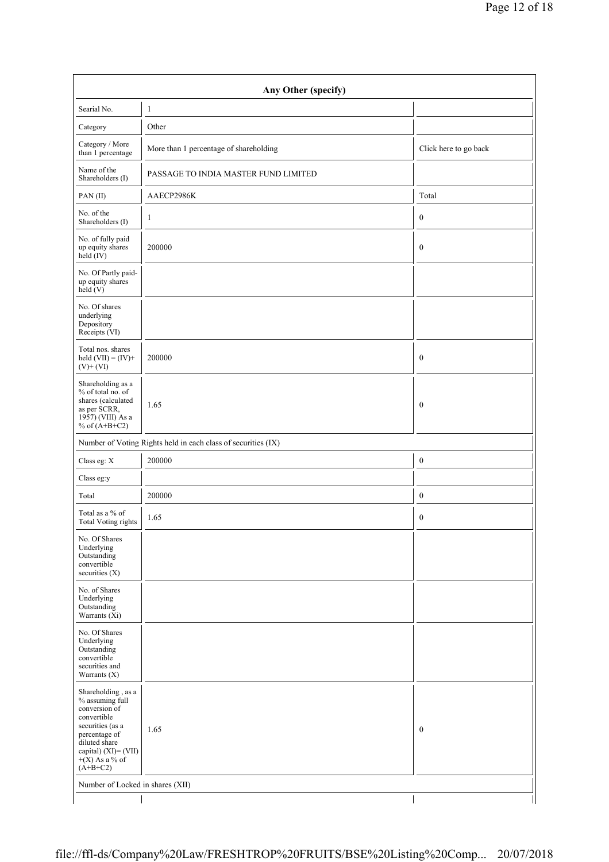| Any Other (specify)                                                                                                                                                                    |                                                               |                       |  |  |  |  |  |  |
|----------------------------------------------------------------------------------------------------------------------------------------------------------------------------------------|---------------------------------------------------------------|-----------------------|--|--|--|--|--|--|
| Searial No.                                                                                                                                                                            | $\mathbf{1}$                                                  |                       |  |  |  |  |  |  |
| Category                                                                                                                                                                               | Other                                                         |                       |  |  |  |  |  |  |
| Category / More<br>than 1 percentage                                                                                                                                                   | More than 1 percentage of shareholding                        | Click here to go back |  |  |  |  |  |  |
| Name of the<br>Shareholders (I)                                                                                                                                                        | PASSAGE TO INDIA MASTER FUND LIMITED                          |                       |  |  |  |  |  |  |
| PAN(II)                                                                                                                                                                                | AAECP2986K                                                    | Total                 |  |  |  |  |  |  |
| No. of the<br>Shareholders (I)                                                                                                                                                         | $\mathbf{1}$                                                  | $\boldsymbol{0}$      |  |  |  |  |  |  |
| No. of fully paid<br>up equity shares<br>held $(IV)$                                                                                                                                   | 200000                                                        | $\boldsymbol{0}$      |  |  |  |  |  |  |
| No. Of Partly paid-<br>up equity shares<br>held(V)                                                                                                                                     |                                                               |                       |  |  |  |  |  |  |
| No. Of shares<br>underlying<br>Depository<br>Receipts (VI)                                                                                                                             |                                                               |                       |  |  |  |  |  |  |
| Total nos. shares<br>held $(VII) = (IV) +$<br>$(V)$ + $(VI)$                                                                                                                           | 200000                                                        | $\boldsymbol{0}$      |  |  |  |  |  |  |
| Shareholding as a<br>% of total no. of<br>shares (calculated<br>as per SCRR,<br>1957) (VIII) As a<br>% of $(A+B+C2)$                                                                   | 1.65                                                          | $\boldsymbol{0}$      |  |  |  |  |  |  |
|                                                                                                                                                                                        | Number of Voting Rights held in each class of securities (IX) |                       |  |  |  |  |  |  |
| Class eg: X                                                                                                                                                                            | 200000                                                        | $\boldsymbol{0}$      |  |  |  |  |  |  |
| Class eg:y                                                                                                                                                                             |                                                               |                       |  |  |  |  |  |  |
| Total                                                                                                                                                                                  | 200000                                                        | $\boldsymbol{0}$      |  |  |  |  |  |  |
| Total as a % of<br><b>Total Voting rights</b>                                                                                                                                          | 1.65                                                          | $\boldsymbol{0}$      |  |  |  |  |  |  |
| No. Of Shares<br>Underlying<br>Outstanding<br>convertible<br>securities (X)                                                                                                            |                                                               |                       |  |  |  |  |  |  |
| No. of Shares<br>Underlying<br>Outstanding<br>Warrants (Xi)                                                                                                                            |                                                               |                       |  |  |  |  |  |  |
| No. Of Shares<br>Underlying<br>Outstanding<br>convertible<br>securities and<br>Warrants $(X)$                                                                                          |                                                               |                       |  |  |  |  |  |  |
| Shareholding , as a<br>% assuming full<br>conversion of<br>convertible<br>securities (as a<br>percentage of<br>diluted share<br>capital) (XI)= (VII)<br>$+(X)$ As a % of<br>$(A+B+C2)$ | 1.65                                                          | $\boldsymbol{0}$      |  |  |  |  |  |  |
| Number of Locked in shares (XII)                                                                                                                                                       |                                                               |                       |  |  |  |  |  |  |
|                                                                                                                                                                                        |                                                               |                       |  |  |  |  |  |  |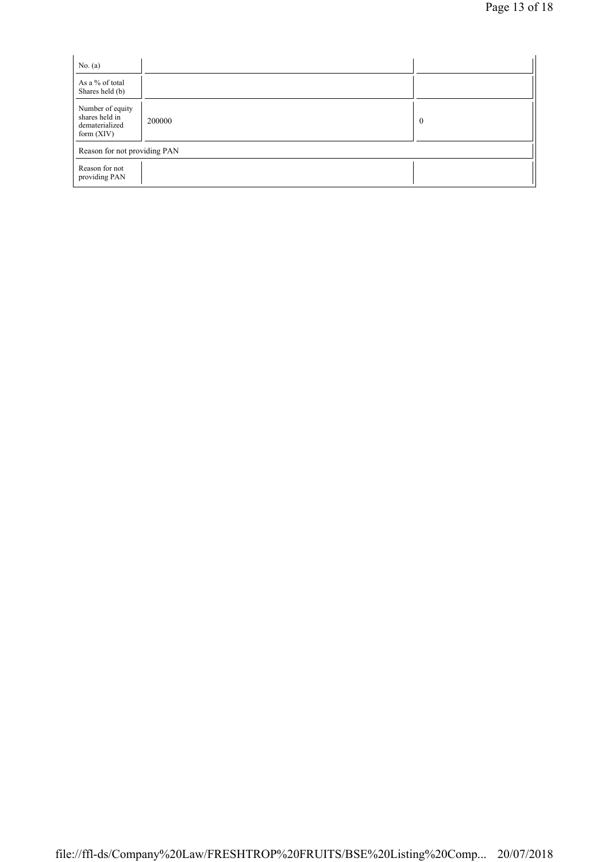| No. $(a)$                                                            |        |          |
|----------------------------------------------------------------------|--------|----------|
| As a % of total<br>Shares held (b)                                   |        |          |
| Number of equity<br>shares held in<br>dematerialized<br>form $(XIV)$ | 200000 | $\bf{0}$ |
| Reason for not providing PAN                                         |        |          |
| Reason for not<br>providing PAN                                      |        |          |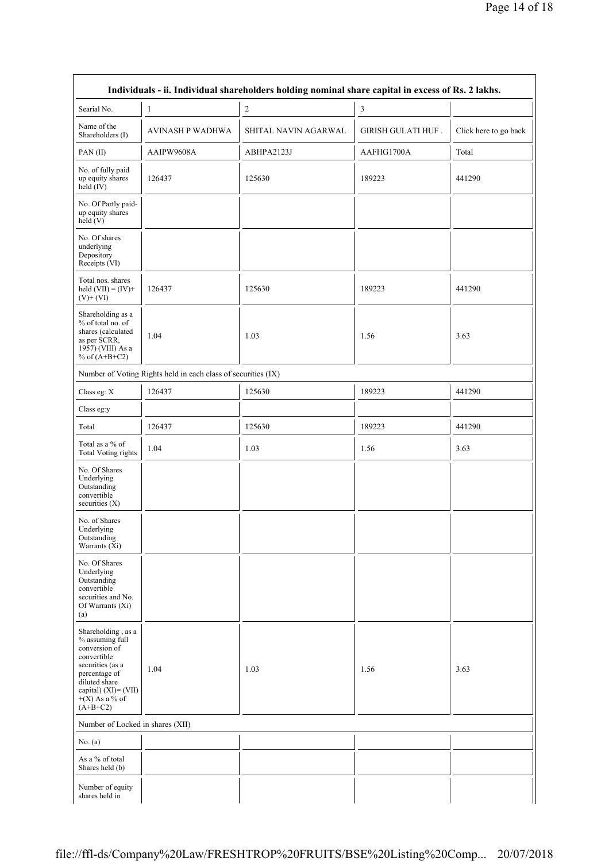| Individuals - ii. Individual shareholders holding nominal share capital in excess of Rs. 2 lakhs.                                                                                     |                                                               |                      |                           |                       |  |
|---------------------------------------------------------------------------------------------------------------------------------------------------------------------------------------|---------------------------------------------------------------|----------------------|---------------------------|-----------------------|--|
| Searial No.                                                                                                                                                                           | 1                                                             | $\boldsymbol{2}$     | $\mathfrak{Z}$            |                       |  |
| Name of the<br>Shareholders (I)                                                                                                                                                       | <b>AVINASH P WADHWA</b>                                       | SHITAL NAVIN AGARWAL | <b>GIRISH GULATI HUF.</b> | Click here to go back |  |
| PAN(II)                                                                                                                                                                               | AAIPW9608A                                                    | ABHPA2123J           | AAFHG1700A                | Total                 |  |
| No. of fully paid<br>up equity shares<br>held (IV)                                                                                                                                    | 126437                                                        | 125630               | 189223                    | 441290                |  |
| No. Of Partly paid-<br>up equity shares<br>held (V)                                                                                                                                   |                                                               |                      |                           |                       |  |
| No. Of shares<br>underlying<br>Depository<br>Receipts (VI)                                                                                                                            |                                                               |                      |                           |                       |  |
| Total nos. shares<br>held $(VII) = (IV) +$<br>$(V)+(VI)$                                                                                                                              | 126437                                                        | 125630               | 189223                    | 441290                |  |
| Shareholding as a<br>% of total no. of<br>shares (calculated<br>as per SCRR,<br>1957) (VIII) As a<br>% of $(A+B+C2)$                                                                  | 1.04                                                          | 1.03                 | 1.56                      | 3.63                  |  |
|                                                                                                                                                                                       | Number of Voting Rights held in each class of securities (IX) |                      |                           |                       |  |
| Class eg: X                                                                                                                                                                           | 126437                                                        | 125630               | 189223                    | 441290                |  |
| Class eg:y                                                                                                                                                                            |                                                               |                      |                           |                       |  |
| Total                                                                                                                                                                                 | 126437                                                        | 125630               | 189223                    | 441290                |  |
| Total as a % of<br>Total Voting rights                                                                                                                                                | 1.04                                                          | 1.03                 | 1.56                      | 3.63                  |  |
| No. Of Shares<br>Underlying<br>Outstanding<br>convertible<br>securities (X)                                                                                                           |                                                               |                      |                           |                       |  |
| No. of Shares<br>Underlying<br>Outstanding<br>Warrants (Xi)                                                                                                                           |                                                               |                      |                           |                       |  |
| No. Of Shares<br>Underlying<br>Outstanding<br>convertible<br>securities and No.<br>Of Warrants (Xi)<br>(a)                                                                            |                                                               |                      |                           |                       |  |
| Shareholding, as a<br>% assuming full<br>conversion of<br>convertible<br>securities (as a<br>percentage of<br>diluted share<br>capital) (XI)= (VII)<br>$+(X)$ As a % of<br>$(A+B+C2)$ | 1.04                                                          | 1.03                 | 1.56                      | 3.63                  |  |
| Number of Locked in shares (XII)                                                                                                                                                      |                                                               |                      |                           |                       |  |
| No. $(a)$                                                                                                                                                                             |                                                               |                      |                           |                       |  |
| As a % of total<br>Shares held (b)                                                                                                                                                    |                                                               |                      |                           |                       |  |
| Number of equity<br>shares held in                                                                                                                                                    |                                                               |                      |                           |                       |  |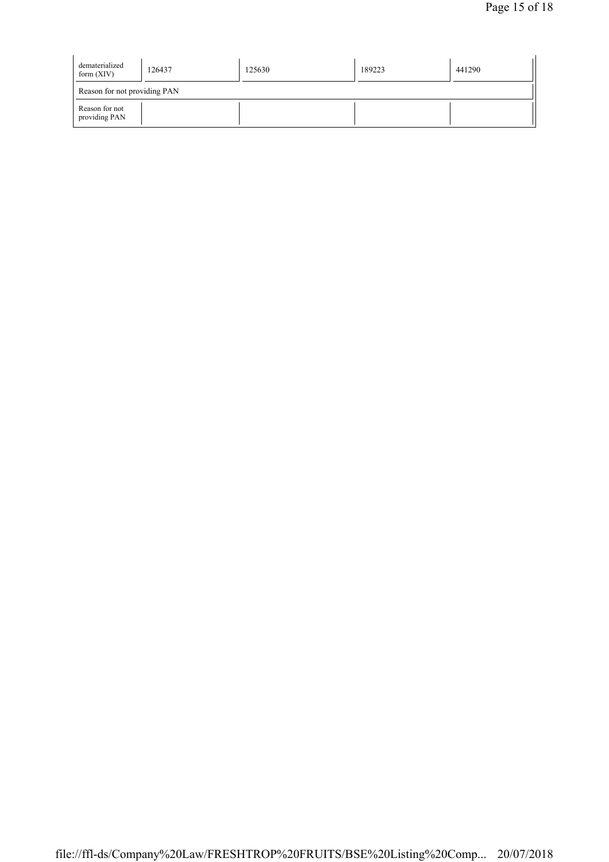| dematerialized<br>form $(XIV)$  | 126437 | 125630 | 189223 | 441290 |  |  |
|---------------------------------|--------|--------|--------|--------|--|--|
| Reason for not providing PAN    |        |        |        |        |  |  |
| Reason for not<br>providing PAN |        |        |        |        |  |  |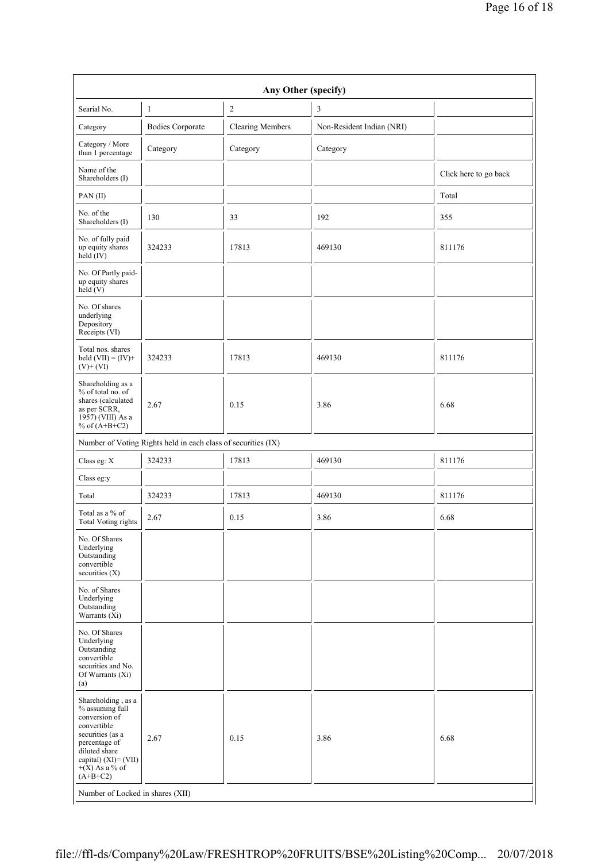| Any Other (specify)                                                                                                                                                                      |                                                               |                         |                           |                       |
|------------------------------------------------------------------------------------------------------------------------------------------------------------------------------------------|---------------------------------------------------------------|-------------------------|---------------------------|-----------------------|
| Searial No.                                                                                                                                                                              | 1                                                             | $\sqrt{2}$              | 3                         |                       |
| Category                                                                                                                                                                                 | <b>Bodies Corporate</b>                                       | <b>Clearing Members</b> | Non-Resident Indian (NRI) |                       |
| Category / More<br>than 1 percentage                                                                                                                                                     | Category                                                      | Category                | Category                  |                       |
| Name of the<br>Shareholders (I)                                                                                                                                                          |                                                               |                         |                           | Click here to go back |
| PAN(II)                                                                                                                                                                                  |                                                               |                         |                           | Total                 |
| No. of the<br>Shareholders (I)                                                                                                                                                           | 130                                                           | 33                      | 192                       | 355                   |
| No. of fully paid<br>up equity shares<br>$\text{held} (IV)$                                                                                                                              | 324233                                                        | 17813                   | 469130                    | 811176                |
| No. Of Partly paid-<br>up equity shares<br>held (V)                                                                                                                                      |                                                               |                         |                           |                       |
| No. Of shares<br>underlying<br>Depository<br>Receipts (VI)                                                                                                                               |                                                               |                         |                           |                       |
| Total nos. shares<br>held $(VII) = (IV) +$<br>$(V)+(VI)$                                                                                                                                 | 324233                                                        | 17813                   | 469130                    | 811176                |
| Shareholding as a<br>% of total no. of<br>shares (calculated<br>as per SCRR,<br>1957) (VIII) As a<br>% of $(A+B+C2)$                                                                     | 2.67                                                          | 0.15                    | 3.86                      | 6.68                  |
|                                                                                                                                                                                          | Number of Voting Rights held in each class of securities (IX) |                         |                           |                       |
| Class eg: X                                                                                                                                                                              | 324233                                                        | 17813                   | 469130                    | 811176                |
| Class eg:y                                                                                                                                                                               |                                                               |                         |                           |                       |
| Total                                                                                                                                                                                    | 324233                                                        | 17813                   | 469130                    | 811176                |
| Total as a % of<br><b>Total Voting rights</b>                                                                                                                                            | 2.67                                                          | 0.15                    | 3.86                      | 6.68                  |
| No. Of Shares<br>Underlying<br>Outstanding<br>convertible<br>securities $(X)$                                                                                                            |                                                               |                         |                           |                       |
| No. of Shares<br>Underlying<br>Outstanding<br>Warrants (Xi)                                                                                                                              |                                                               |                         |                           |                       |
| No. Of Shares<br>Underlying<br>Outstanding<br>convertible<br>securities and No.<br>Of Warrants (Xi)<br>(a)                                                                               |                                                               |                         |                           |                       |
| Shareholding, as a<br>% assuming full<br>conversion of<br>convertible<br>securities (as a<br>percentage of<br>diluted share<br>capital) $(XI) = (VII)$<br>$+(X)$ As a % of<br>$(A+B+C2)$ | 2.67                                                          | 0.15                    | 3.86                      | 6.68                  |
| Number of Locked in shares (XII)                                                                                                                                                         |                                                               |                         |                           |                       |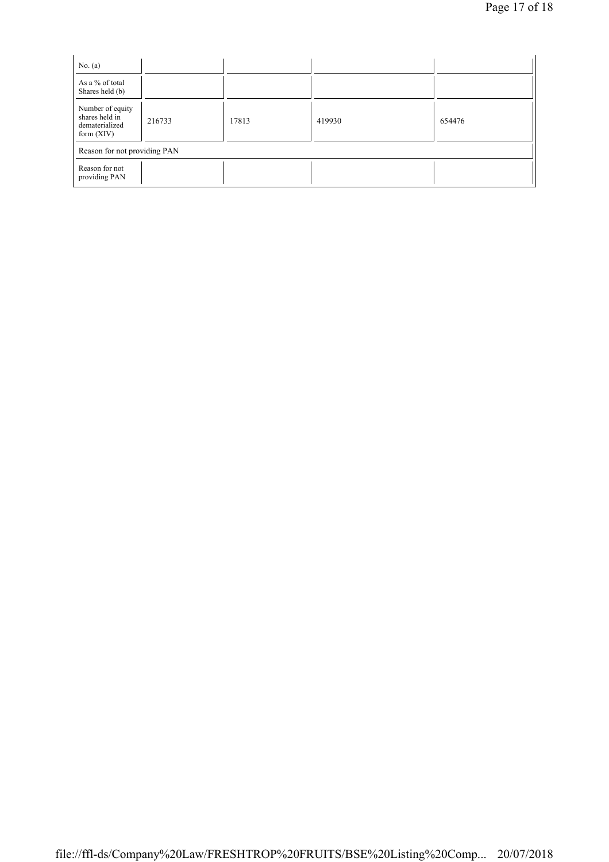| No. $(a)$                                                            |        |       |        |        |  |
|----------------------------------------------------------------------|--------|-------|--------|--------|--|
| As a % of total<br>Shares held (b)                                   |        |       |        |        |  |
| Number of equity<br>shares held in<br>dematerialized<br>form $(XIV)$ | 216733 | 17813 | 419930 | 654476 |  |
| Reason for not providing PAN                                         |        |       |        |        |  |
| Reason for not<br>providing PAN                                      |        |       |        |        |  |